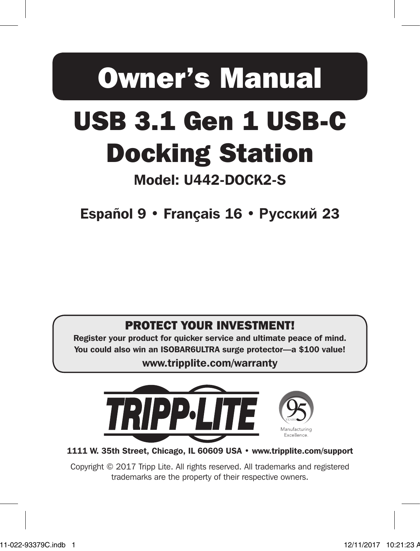# Owner's Manual

# USB 3.1 Gen 1 USB-C Docking Station

# Model: U442-DOCK2-S

Español 9 • Français 16 • **Русский** 23

### PROTECT YOUR INVESTMENT!

Register your product for quicker service and ultimate peace of mind. You could also win an ISOBAR6ULTRA surge protector—a \$100 value!

www.tripplite.com/warranty



1111 W. 35th Street, Chicago, IL 60609 USA • www.tripplite.com/support

 $\overline{a}$ Copyright © 2017 Tripp Lite. All rights reserved. All trademarks and registered trademarks are the property of their respective owners.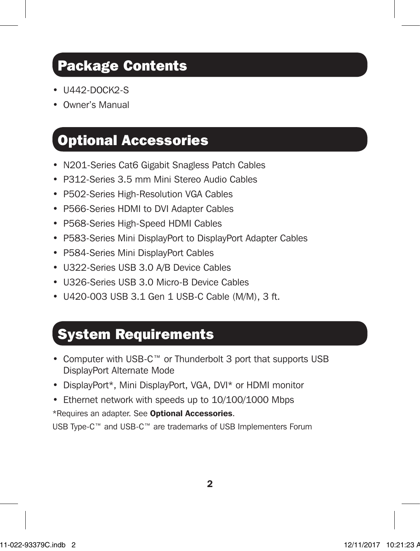## Package Contents

- **U442-DOCK2-S**
- Owner's Manual

### Optional Accessories

- N201-Series Cat6 Gigabit Snagless Patch Cables
- P312-Series 3.5 mm Mini Stereo Audio Cables
- P502-Series High-Resolution VGA Cables
- P566-Series HDMI to DVI Adapter Cables
- P568-Series High-Speed HDMI Cables
- P583-Series Mini DisplayPort to DisplayPort Adapter Cables
- P584-Series Mini DisplayPort Cables
- U322-Series USB 3.0 A/B Device Cables
- U326-Series USB 3.0 Micro-B Device Cables
- U420-003 USB 3.1 Gen 1 USB-C Cable (M/M), 3 ft.

### System Requirements

- Computer with USB-C™ or Thunderbolt 3 port that supports USB DisplayPort Alternate Mode
- DisplayPort\*, Mini DisplayPort, VGA, DVI\* or HDMI monitor
- Ethernet network with speeds up to 10/100/1000 Mbps

\*Requires an adapter. See **Optional Accessories**.

USB Type-C™ and USB-C™ are trademarks of USB Implementers Forum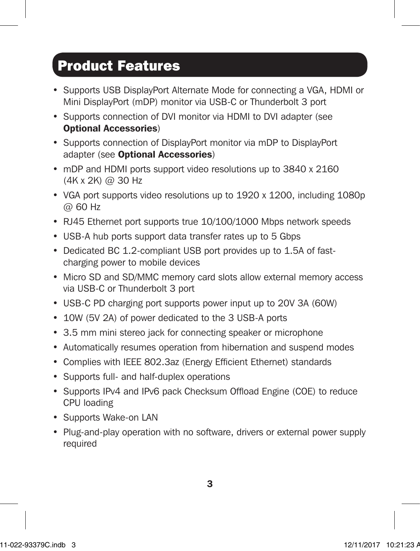## Product Features

- Supports USB DisplayPort Alternate Mode for connecting a VGA, HDMI or Mini DisplayPort (mDP) monitor via USB-C or Thunderbolt 3 port
- Supports connection of DVI monitor via HDMI to DVI adapter (see Optional Accessories)
- Supports connection of DisplayPort monitor via mDP to DisplayPort adapter (see Optional Accessories)
- mDP and HDMI ports support video resolutions up to 3840 x 2160 (4K x 2K) @ 30 Hz
- VGA port supports video resolutions up to 1920 x 1200, including 1080p @ 60 Hz
- RJ45 Ethernet port supports true 10/100/1000 Mbps network speeds
- USB-A hub ports support data transfer rates up to 5 Gbps
- Dedicated BC 1.2-compliant USB port provides up to 1.5A of fastcharging power to mobile devices
- Micro SD and SD/MMC memory card slots allow external memory access via USB-C or Thunderbolt 3 port
- USB-C PD charging port supports power input up to 20V 3A (60W)
- 10W (5V 2A) of power dedicated to the 3 USB-A ports
- 3.5 mm mini stereo jack for connecting speaker or microphone
- Automatically resumes operation from hibernation and suspend modes
- Complies with IEEE 802.3az (Energy Efficient Ethernet) standards
- Supports full- and half-duplex operations
- Supports IPv4 and IPv6 pack Checksum Offload Engine (COE) to reduce CPU loading
- Supports Wake-on LAN
- Plug-and-play operation with no software, drivers or external power supply required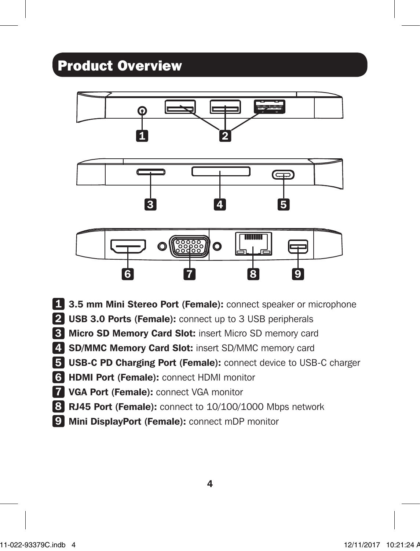## Product Overview



- 1 3.5 mm Mini Stereo Port (Female): connect speaker or microphone
- 2 USB 3.0 Ports (Female): connect up to 3 USB peripherals
- 3 Micro SD Memory Card Slot: insert Micro SD memory card
- 4. SD/MMC Memory Card Slot: insert SD/MMC memory card
- 5 USB-C PD Charging Port (Female): connect device to USB-C charger
- 6 HDMI Port (Female): connect HDMI monitor
- **7 VGA Port (Female): connect VGA monitor**
- 8 RJ45 Port (Female): connect to 10/100/1000 Mbps network
- 9 Mini DisplayPort (Female): connect mDP monitor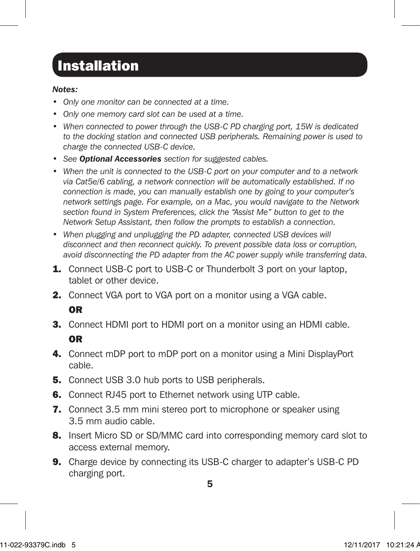## **Installation**

### *Notes:*

- *• Only one monitor can be connected at a time.*
- *• Only one memory card slot can be used at a time.*
- *• When connected to power through the USB-C PD charging port, 15W is dedicated to the docking station and connected USB peripherals. Remaining power is used to charge the connected USB-C device.*
- *• See Optional Accessories section for suggested cables.*
- *• When the unit is connected to the USB-C port on your computer and to a network via Cat5e/6 cabling, a network connection will be automatically established. If no connection is made, you can manually establish one by going to your computer's network settings page. For example, on a Mac, you would navigate to the Network section found in System Preferences, click the "Assist Me" button to get to the Network Setup Assistant, then follow the prompts to establish a connection.*
- When plugging and unplugging the PD adapter, connected USB devices will *disconnect and then reconnect quickly. To prevent possible data loss or corruption, avoid disconnecting the PD adapter from the AC power supply while transferring data.*
- **1.** Connect USB-C port to USB-C or Thunderbolt 3 port on your laptop, tablet or other device.
- 2. Connect VGA port to VGA port on a monitor using a VGA cable.

### OR

- **3.** Connect HDMI port to HDMI port on a monitor using an HDMI cable. OR
- 4. Connect mDP port to mDP port on a monitor using a Mini DisplayPort cable.
- **5.** Connect USB 3.0 hub ports to USB peripherals.
- **6.** Connect RJ45 port to Ethernet network using UTP cable.
- 7. Connect 3.5 mm mini stereo port to microphone or speaker using 3.5 mm audio cable.
- 8. Insert Micro SD or SD/MMC card into corresponding memory card slot to access external memory.
- **9.** Charge device by connecting its USB-C charger to adapter's USB-C PD charging port.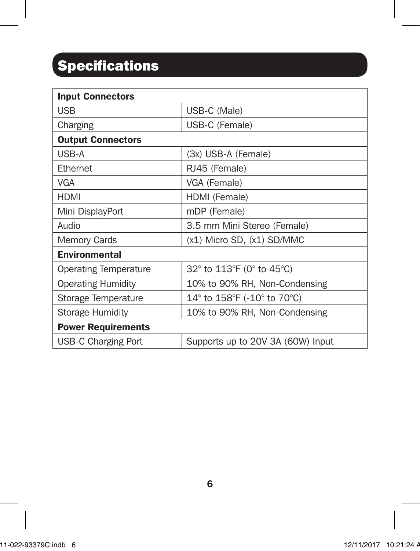# **Specifications**

| <b>Input Connectors</b>      |                                                                   |  |
|------------------------------|-------------------------------------------------------------------|--|
| <b>USB</b>                   | USB-C (Male)                                                      |  |
| Charging                     | USB-C (Female)                                                    |  |
| <b>Output Connectors</b>     |                                                                   |  |
| USB-A                        | (3x) USB-A (Female)                                               |  |
| Ethernet                     | RJ45 (Female)                                                     |  |
| VGA                          | VGA (Female)                                                      |  |
| HDMI                         | HDMI (Female)                                                     |  |
| Mini DisplayPort             | mDP (Female)                                                      |  |
| Audio                        | 3.5 mm Mini Stereo (Female)                                       |  |
| <b>Memory Cards</b>          | $(x1)$ Micro SD, $(x1)$ SD/MMC                                    |  |
| <b>Environmental</b>         |                                                                   |  |
| <b>Operating Temperature</b> | 32° to 113°F (0° to 45°C)                                         |  |
| <b>Operating Humidity</b>    | 10% to 90% RH, Non-Condensing                                     |  |
| Storage Temperature          | 14 $\degree$ to 158 $\degree$ F (-10 $\degree$ to 70 $\degree$ C) |  |
| <b>Storage Humidity</b>      | 10% to 90% RH, Non-Condensing                                     |  |
| <b>Power Requirements</b>    |                                                                   |  |
| USB-C Charging Port          | Supports up to 20V 3A (60W) Input                                 |  |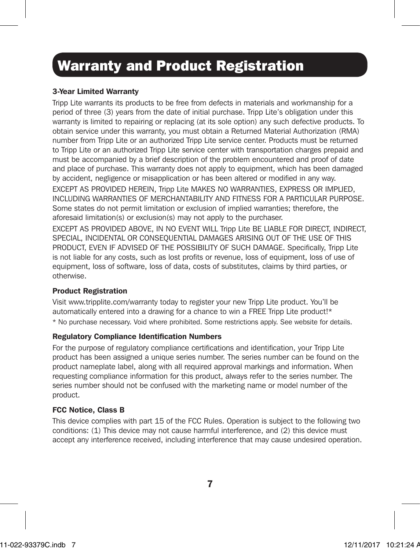# Warranty and Product Registration

### 3-Year Limited Warranty

Tripp Lite warrants its products to be free from defects in materials and workmanship for a period of three (3) years from the date of initial purchase. Tripp Lite's obligation under this warranty is limited to repairing or replacing (at its sole option) any such defective products. To obtain service under this warranty, you must obtain a Returned Material Authorization (RMA) number from Tripp Lite or an authorized Tripp Lite service center. Products must be returned to Tripp Lite or an authorized Tripp Lite service center with transportation charges prepaid and must be accompanied by a brief description of the problem encountered and proof of date and place of purchase. This warranty does not apply to equipment, which has been damaged by accident, negligence or misapplication or has been altered or modified in any way. EXCEPT AS PROVIDED HEREIN, Tripp Lite MAKES NO WARRANTIES, EXPRESS OR IMPLIED, INCLUDING WARRANTIES OF MERCHANTABILITY AND FITNESS FOR A PARTICULAR PURPOSE. Some states do not permit limitation or exclusion of implied warranties; therefore, the aforesaid limitation(s) or exclusion(s) may not apply to the purchaser. EXCEPT AS PROVIDED ABOVE, IN NO EVENT WILL Tripp Lite BE LIABLE FOR DIRECT, INDIRECT,

SPECIAL, INCIDENTAL OR CONSEQUENTIAL DAMAGES ARISING OUT OF THE USE OF THIS PRODUCT, EVEN IF ADVISED OF THE POSSIBILITY OF SUCH DAMAGE. Specifically, Tripp Lite is not liable for any costs, such as lost profits or revenue, loss of equipment, loss of use of equipment, loss of software, loss of data, costs of substitutes, claims by third parties, or otherwise.

### Product Registration

Visit www.tripplite.com/warranty today to register your new Tripp Lite product. You'll be automatically entered into a drawing for a chance to win a FREE Tripp Lite product!\* \* No purchase necessary. Void where prohibited. Some restrictions apply. See website for details.

### Regulatory Compliance Identification Numbers

For the purpose of regulatory compliance certifications and identification, your Tripp Lite product has been assigned a unique series number. The series number can be found on the product nameplate label, along with all required approval markings and information. When requesting compliance information for this product, always refer to the series number. The series number should not be confused with the marketing name or model number of the product.

#### FCC Notice, Class B

This device complies with part 15 of the FCC Rules. Operation is subject to the following two conditions: (1) This device may not cause harmful interference, and (2) this device must accept any interference received, including interference that may cause undesired operation.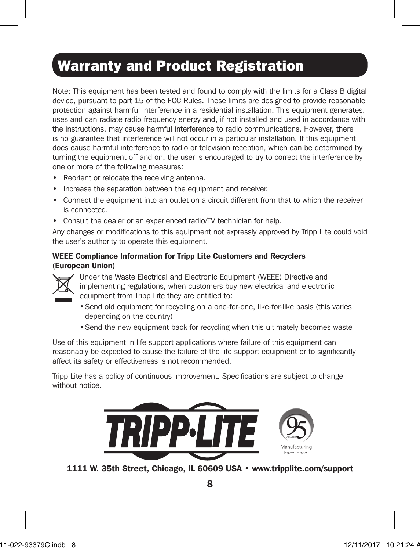## Warranty and Product Registration

Note: This equipment has been tested and found to comply with the limits for a Class B digital device, pursuant to part 15 of the FCC Rules. These limits are designed to provide reasonable protection against harmful interference in a residential installation. This equipment generates, uses and can radiate radio frequency energy and, if not installed and used in accordance with the instructions, may cause harmful interference to radio communications. However, there is no guarantee that interference will not occur in a particular installation. If this equipment does cause harmful interference to radio or television reception, which can be determined by turning the equipment off and on, the user is encouraged to try to correct the interference by one or more of the following measures:

- Reorient or relocate the receiving antenna.
- Increase the separation between the equipment and receiver.
- Connect the equipment into an outlet on a circuit different from that to which the receiver is connected.
- Consult the dealer or an experienced radio/TV technician for help.

Any changes or modifications to this equipment not expressly approved by Tripp Lite could void the user's authority to operate this equipment.

### WEEE Compliance Information for Tripp Lite Customers and Recyclers (European Union)



Under the Waste Electrical and Electronic Equipment (WEEE) Directive and implementing regulations, when customers buy new electrical and electronic equipment from Tripp Lite they are entitled to:

- •Send old equipment for recycling on a one-for-one, like-for-like basis (this varies depending on the country)
- •Send the new equipment back for recycling when this ultimately becomes waste

Use of this equipment in life support applications where failure of this equipment can reasonably be expected to cause the failure of the life support equipment or to significantly affect its safety or effectiveness is not recommended.

Tripp Lite has a policy of continuous improvement. Specifications are subject to change without notice.



1111 W. 35th Street, Chicago, IL 60609 USA • www.tripplite.com/support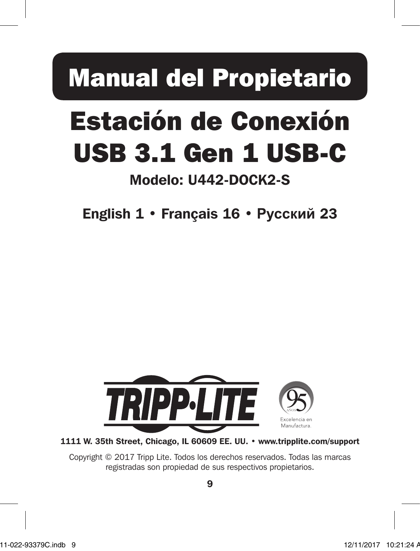# Manual del Propietario

# Estación de Conexión USB 3.1 Gen 1 USB-C

## Modelo: U442-DOCK2-S

English 1 • Français 16 • **Русский** 23



1111 W. 35th Street, Chicago, IL 60609 EE. UU. • www.tripplite.com/support

Copyright © 2017 Tripp Lite. Todos los derechos reservados. Todas las marcas registradas son propiedad de sus respectivos propietarios.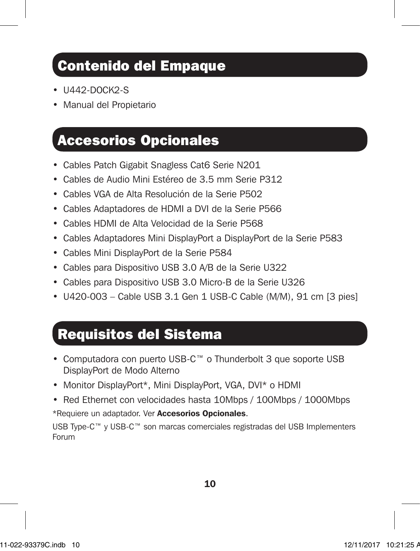## Contenido del Empaque

- **U442-DOCK2-S**
- Manual del Propietario

### Accesorios Opcionales

- Cables Patch Gigabit Snagless Cat6 Serie N201
- Cables de Audio Mini Estéreo de 3.5 mm Serie P312
- Cables VGA de Alta Resolución de la Serie P502
- Cables Adaptadores de HDMI a DVI de la Serie P566
- Cables HDMI de Alta Velocidad de la Serie P568
- Cables Adaptadores Mini DisplayPort a DisplayPort de la Serie P583
- Cables Mini DisplayPort de la Serie P584
- Cables para Dispositivo USB 3.0 A/B de la Serie U322
- Cables para Dispositivo USB 3.0 Micro-B de la Serie U326
- U420-003 Cable USB 3.1 Gen 1 USB-C Cable (M/M), 91 cm [3 pies]

## Requisitos del Sistema

- Computadora con puerto USB-C™ o Thunderbolt 3 que soporte USB DisplayPort de Modo Alterno
- Monitor DisplayPort\*, Mini DisplayPort, VGA, DVI\* o HDMI
- Red Ethernet con velocidades hasta 10Mbps / 100Mbps / 1000Mbps

\*Requiere un adaptador. Ver Accesorios Opcionales.

USB Type-C™ y USB-C™ son marcas comerciales registradas del USB Implementers Forum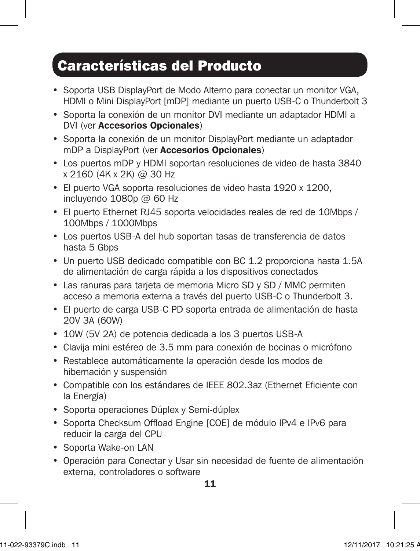## Características del Producto

- Soporta USB DisplayPort de Modo Alterno para conectar un monitor VGA, HDMI o Mini DisplayPort [mDP] mediante un puerto USB-C o Thunderbolt 3
- Soporta la conexión de un monitor DVI mediante un adaptador HDMI a DVI (ver Accesorios Opcionales)
- Soporta la conexión de un monitor DisplayPort mediante un adaptador mDP a DisplayPort (ver Accesorios Opcionales)
- Los puertos mDP y HDMI soportan resoluciones de video de hasta 3840 x 2160 (4K x 2K) @ 30 Hz
- El puerto VGA soporta resoluciones de video hasta 1920 x 1200, incluyendo  $1080p$  @ 60 Hz
- El puerto Ethernet RJ45 soporta velocidades reales de red de 10Mbps / 100Mbps / 1000Mbps
- Los puertos USB-A del hub soportan tasas de transferencia de datos hasta 5 Gbps
- Un puerto USB dedicado compatible con BC 1.2 proporciona hasta 1.5A de alimentación de carga rápida a los dispositivos conectados
- Las ranuras para tarjeta de memoria Micro SD y SD / MMC permiten acceso a memoria externa a través del puerto USB-C o Thunderbolt 3.
- El puerto de carga USB-C PD soporta entrada de alimentación de hasta 20V 3A (60W)
- 10W (5V 2A) de potencia dedicada a los 3 puertos USB-A
- Clavija mini estéreo de 3.5 mm para conexión de bocinas o micrófono
- Restablece automáticamente la operación desde los modos de hibernación y suspensión
- Compatible con los estándares de IEEE 802.3az (Ethernet Eficiente con la Energía)
- Soporta operaciones Dúplex y Semi-dúplex
- Soporta Checksum Offload Engine [COE] de módulo IPv4 e IPv6 para reducir la carga del CPU
- Soporta Wake-on LAN
- Operación para Conectar y Usar sin necesidad de fuente de alimentación externa, controladores o software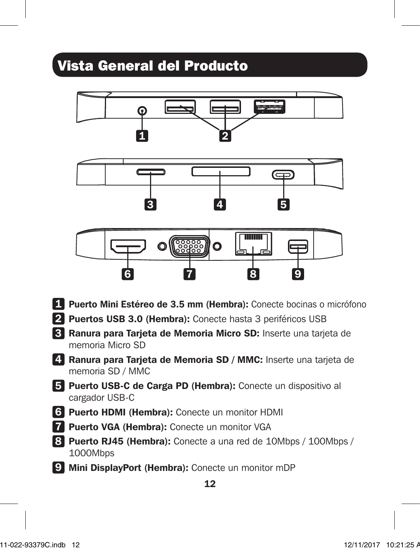# Vista General del Producto



- 5 Puerto USB-C de Carga PD (Hembra): Conecte un dispositivo al cargador USB-C
- 6 Puerto HDMI (Hembra): Conecte un monitor HDMI
- 7 Puerto VGA (Hembra): Conecte un monitor VGA
- 8 Puerto RJ45 (Hembra): Conecte a una red de 10Mbps / 100Mbps / 1000Mbps
- 9 Mini DisplayPort (Hembra): Conecte un monitor mDP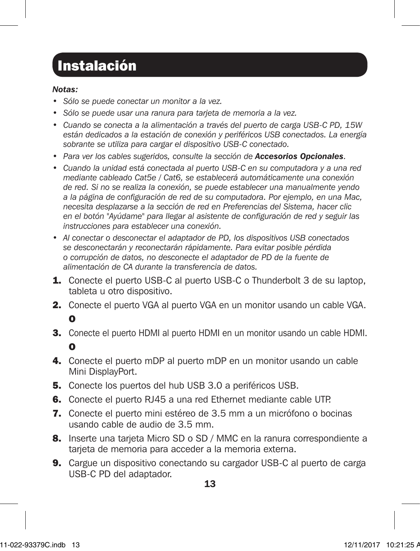## Instalación

### *Notas:*

- *• Sólo se puede conectar un monitor a la vez.*
- *• Sólo se puede usar una ranura para tarjeta de memoria a la vez.*
- *• Cuando se conecta a la alimentación a través del puerto de carga USB-C PD, 15W están dedicados a la estación de conexión y periféricos USB conectados. La energía sobrante se utiliza para cargar el dispositivo USB-C conectado.*
- *• Para ver los cables sugeridos, consulte la sección de Accesorios Opcionales.*
- *• Cuando la unidad está conectada al puerto USB-C en su computadora y a una red mediante cableado Cat5e / Cat6, se establecerá automáticamente una conexión de red. Si no se realiza la conexión, se puede establecer una manualmente yendo a la página de configuración de red de su computadora. Por ejemplo, en una Mac, necesita desplazarse a la sección de red en Preferencias del Sistema, hacer clic en el botón "Ayúdame" para llegar al asistente de configuración de red y seguir las instrucciones para establecer una conexión.*
- *• Al conectar o desconectar el adaptador de PD, los dispositivos USB conectados se desconectarán y reconectarán rápidamente. Para evitar posible pérdida o corrupción de datos, no desconecte el adaptador de PD de la fuente de alimentación de CA durante la transferencia de datos.*
- 1. Conecte el puerto USB-C al puerto USB-C o Thunderbolt 3 de su laptop, tableta u otro dispositivo.
- 2. Conecte el puerto VGA al puerto VGA en un monitor usando un cable VGA. O
- 3. Conecte el puerto HDMI al puerto HDMI en un monitor usando un cable HDMI. O
- 4. Conecte el puerto mDP al puerto mDP en un monitor usando un cable Mini DisplayPort.
- 5. Conecte los puertos del hub USB 3.0 a periféricos USB.
- 6. Conecte el puerto RJ45 a una red Ethernet mediante cable UTP.
- 7. Conecte el puerto mini estéreo de 3.5 mm a un micrófono o bocinas usando cable de audio de 3.5 mm.
- 8. Inserte una tarieta Micro SD o SD / MMC en la ranura correspondiente a tarjeta de memoria para acceder a la memoria externa.
- **9.** Cargue un dispositivo conectando su cargador USB-C al puerto de carga USB-C PD del adaptador.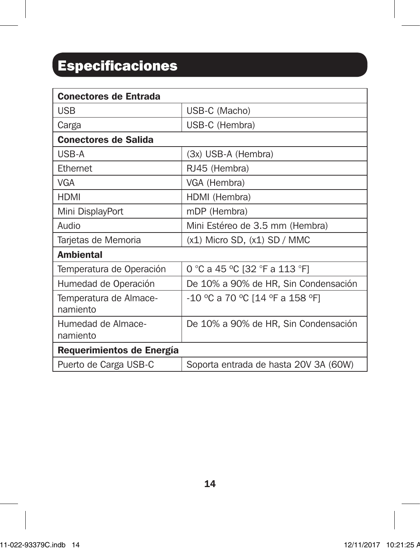# Especificaciones

| <b>Conectores de Entrada</b>       |                                       |  |
|------------------------------------|---------------------------------------|--|
| USB                                | USB-C (Macho)                         |  |
| Carga                              | USB-C (Hembra)                        |  |
| <b>Conectores de Salida</b>        |                                       |  |
| USB-A                              | (3x) USB-A (Hembra)                   |  |
| Ethernet                           | RJ45 (Hembra)                         |  |
| VGA                                | VGA (Hembra)                          |  |
| <b>HDMI</b>                        | HDMI (Hembra)                         |  |
| Mini DisplayPort                   | mDP (Hembra)                          |  |
| QibuA                              | Mini Estéreo de 3.5 mm (Hembra)       |  |
| Tarjetas de Memoria                | $(x1)$ Micro SD, $(x1)$ SD / MMC      |  |
| <b>Ambiental</b>                   |                                       |  |
| Temperatura de Operación           | 0 °C a 45 °C [32 °F a 113 °F]         |  |
| Humedad de Operación               | De 10% a 90% de HR, Sin Condensación  |  |
| Temperatura de Almace-<br>namiento | -10 °C a 70 °C [14 °F a 158 °F]       |  |
| Humedad de Almace-<br>namiento     | De 10% a 90% de HR, Sin Condensación  |  |
| Requerimientos de Energía          |                                       |  |
| Puerto de Carga USB-C              | Soporta entrada de hasta 20V 3A (60W) |  |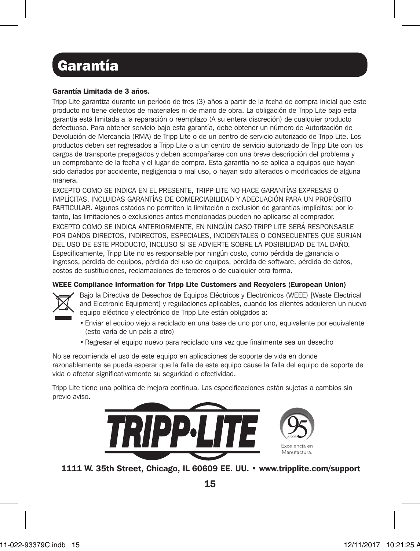# Garantía

#### Garantía Limitada de 3 años.

Tripp Lite garantiza durante un período de tres (3) años a partir de la fecha de compra inicial que este producto no tiene defectos de materiales ni de mano de obra. La obligación de Tripp Lite bajo esta garantía está limitada a la reparación o reemplazo (A su entera discreción) de cualquier producto defectuoso. Para obtener servicio bajo esta garantía, debe obtener un número de Autorización de Devolución de Mercancía (RMA) de Tripp Lite o de un centro de servicio autorizado de Tripp Lite. Los productos deben ser regresados a Tripp Lite o a un centro de servicio autorizado de Tripp Lite con los cargos de transporte prepagados y deben acompañarse con una breve descripción del problema y un comprobante de la fecha y el lugar de compra. Esta garantía no se aplica a equipos que hayan sido dañados por accidente, negligencia o mal uso, o hayan sido alterados o modificados de alguna manera.

EXCEPTO COMO SE INDICA EN EL PRESENTE, TRIPP LITE NO HACE GARANTÍAS EXPRESAS O IMPLÍCITAS, INCLUIDAS GARANTÍAS DE COMERCIABILIDAD Y ADECUACIÓN PARA UN PROPÓSITO PARTICULAR. Algunos estados no permiten la limitación o exclusión de garantías implícitas; por lo tanto, las limitaciones o exclusiones antes mencionadas pueden no aplicarse al comprador. EXCEPTO COMO SE INDICA ANTERIORMENTE, EN NINGÚN CASO TRIPP LITE SERÁ RESPONSABLE POR DAÑOS DIRECTOS, INDIRECTOS, ESPECIALES, INCIDENTALES O CONSECUENTES QUE SURJAN DEL USO DE ESTE PRODUCTO, INCLUSO SI SE ADVIERTE SOBRE LA POSIBILIDAD DE TAL DAÑO. Específicamente, Tripp Lite no es responsable por ningún costo, como pérdida de ganancia o ingresos, pérdida de equipos, pérdida del uso de equipos, pérdida de software, pérdida de datos, costos de sustituciones, reclamaciones de terceros o de cualquier otra forma.

#### WEEE Compliance Information for Tripp Lite Customers and Recyclers (European Union)



Bajo la Directiva de Desechos de Equipos Eléctricos y Electrónicos (WEEE) [Waste Electrical and Electronic Equipment] y regulaciones aplicables, cuando los clientes adquieren un nuevo equipo eléctrico y electrónico de Tripp Lite están obligados a:

- Enviar el equipo viejo a reciclado en una base de uno por uno, equivalente por equivalente (esto varía de un país a otro)
- Regresar el equipo nuevo para reciclado una vez que finalmente sea un desecho

No se recomienda el uso de este equipo en aplicaciones de soporte de vida en donde razonablemente se pueda esperar que la falla de este equipo cause la falla del equipo de soporte de vida o afectar significativamente su seguridad o efectividad.

Tripp Lite tiene una política de mejora continua. Las especificaciones están sujetas a cambios sin previo aviso.



1111 W. 35th Street, Chicago, IL 60609 EE. UU. • www.tripplite.com/support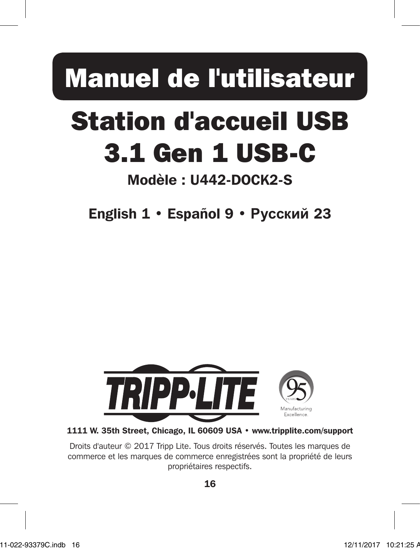# Manuel de l'utilisateur

# Station d'accueil USB 3.1 Gen 1 USB-C

# Modèle : U442-DOCK2-S

English 1 • Español 9 • **Русский** 23



1111 W. 35th Street, Chicago, IL 60609 USA • www.tripplite.com/support

Droits d'auteur © 2017 Tripp Lite. Tous droits réservés. Toutes les marques de commerce et les marques de commerce enregistrées sont la propriété de leurs propriétaires respectifs.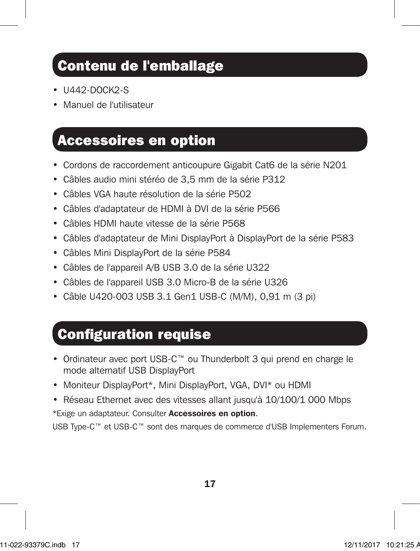## Contenu de l'emballage

- **U442-DOCK2-S**
- Manuel de l'utilisateur

### Accessoires en option

- Cordons de raccordement anticoupure Gigabit Cat6 de la série N201
- Câbles audio mini stéréo de 3,5 mm de la série P312
- Câbles VGA haute résolution de la série P502
- Câbles d'adaptateur de HDMI à DVI de la série P566
- Câbles HDMI haute vitesse de la série P568
- Câbles d'adaptateur de Mini DisplayPort à DisplayPort de la série P583
- Câbles Mini DisplayPort de la série P584
- Câbles de l'appareil A/B USB 3.0 de la série U322
- Câbles de l'appareil USB 3.0 Micro-B de la série U326
- Câble U420-003 USB 3.1 Gen1 USB-C (M/M), 0,91 m (3 pi)

### Configuration requise

- Ordinateur avec port USB-C™ ou Thunderbolt 3 qui prend en charge le mode alternatif USB DisplayPort
- Moniteur DisplayPort\*, Mini DisplayPort, VGA, DVI\* ou HDMI
- Réseau Ethernet avec des vitesses allant jusqu'à 10/100/1 000 Mbps

\*Exige un adaptateur. Consulter Accessoires en option.

USB Type-C™ et USB-C™ sont des marques de commerce d'USB Implementers Forum.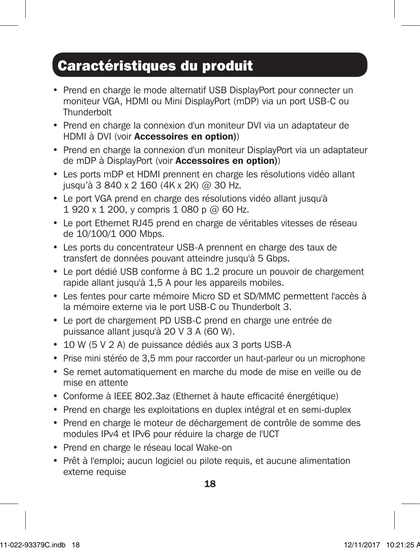## Caractéristiques du produit

- Prend en charge le mode alternatif USB DisplayPort pour connecter un moniteur VGA, HDMI ou Mini DisplayPort (mDP) via un port USB-C ou **Thunderbolt**
- Prend en charge la connexion d'un moniteur DVI via un adaptateur de HDMI à DVI (voir Accessoires en option))
- Prend en charge la connexion d'un moniteur DisplayPort via un adaptateur de mDP à DisplayPort (voir Accessoires en option))
- Les ports mDP et HDMI prennent en charge les résolutions vidéo allant jusqu'à 3 840 x 2 160 (4K x 2K) @ 30 Hz.
- Le port VGA prend en charge des résolutions vidéo allant jusqu'à 1 920 x 1 200, y compris 1 080 p @ 60 Hz.
- Le port Ethernet RJ45 prend en charge de véritables vitesses de réseau de 10/100/1 000 Mbps.
- Les ports du concentrateur USB-A prennent en charge des taux de transfert de données pouvant atteindre jusqu'à 5 Gbps.
- Le port dédié USB conforme à BC 1.2 procure un pouvoir de chargement rapide allant jusqu'à 1,5 A pour les appareils mobiles.
- Les fentes pour carte mémoire Micro SD et SD/MMC permettent l'accès à la mémoire externe via le port USB-C ou Thunderbolt 3.
- Le port de chargement PD USB-C prend en charge une entrée de puissance allant jusqu'à 20 V 3 A (60 W).
- 10 W (5 V 2 A) de puissance dédiés aux 3 ports USB-A
- Prise mini stéréo de 3,5 mm pour raccorder un haut-parleur ou un microphone
- Se remet automatiquement en marche du mode de mise en veille ou de mise en attente
- Conforme à IEEE 802.3az (Ethernet à haute efficacité énergétique)
- Prend en charge les exploitations en duplex intégral et en semi-duplex
- Prend en charge le moteur de déchargement de contrôle de somme des modules IPv4 et IPv6 pour réduire la charge de l'UCT
- Prend en charge le réseau local Wake-on
- Prêt à l'emploi; aucun logiciel ou pilote requis, et aucune alimentation externe requise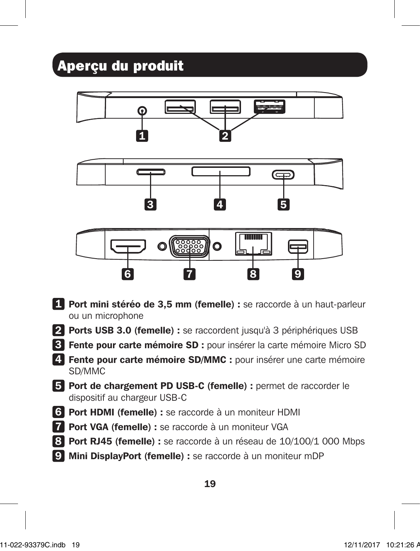# Aperçu du produit



- 1 Port mini stéréo de 3,5 mm (femelle) : se raccorde à un haut-parleur ou un microphone
- 2 Ports USB 3.0 (femelle) : se raccordent jusqu'à 3 périphériques USB
- 3 Fente pour carte mémoire SD : pour insérer la carte mémoire Micro SD
- 4 Fente pour carte mémoire SD/MMC : pour insérer une carte mémoire SD/MMC
- 5 Port de chargement PD USB-C (femelle) : permet de raccorder le dispositif au chargeur USB-C
- 6 Port HDMI (femelle) : se raccorde à un moniteur HDMI
- 7 Port VGA (femelle) : se raccorde à un moniteur VGA
- 8 Port RJ45 (femelle) : se raccorde à un réseau de 10/100/1 000 Mbps
- 9 Mini DisplayPort (femelle) : se raccorde à un moniteur mDP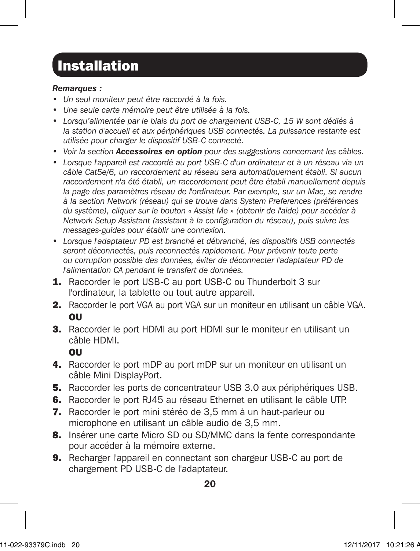## Installation

### *Remarques :*

- *• Un seul moniteur peut être raccordé à la fois.*
- *• Une seule carte mémoire peut être utilisée à la fois.*
- *• Lorsqu'alimentée par le biais du port de chargement USB-C, 15 W sont dédiés à*  la station d'accueil et aux périphériques USB connectés. La puissance restante est *utilisée pour charger le dispositif USB-C connecté.*
- *• Voir la section Accessoires en option pour des suggestions concernant les câbles.*
- *• Lorsque l'appareil est raccordé au port USB-C d'un ordinateur et à un réseau via un câble Cat5e/6, un raccordement au réseau sera automatiquement établi. Si aucun raccordement n'a été établi, un raccordement peut être établi manuellement depuis*  la page des paramètres réseau de l'ordinateur. Par exemple, sur un Mac, se rendre *à la section Network (réseau) qui se trouve dans System Preferences (préférences du système), cliquer sur le bouton « Assist Me » (obtenir de l'aide) pour accéder à Network Setup Assistant (assistant à la configuration du réseau), puis suivre les messages-guides pour établir une connexion.*
- *• Lorsque l'adaptateur PD est branché et débranché, les dispositifs USB connectés seront déconnectés, puis reconnectés rapidement. Pour prévenir toute perte ou corruption possible des données, éviter de déconnecter l'adaptateur PD de l'alimentation CA pendant le transfert de données.*
- **1.** Raccorder le port USB-C au port USB-C ou Thunderbolt 3 sur l'ordinateur, la tablette ou tout autre appareil.
- 2. Raccorder le port VGA au port VGA sur un moniteur en utilisant un câble VGA. OU
- 3. Raccorder le port HDMI au port HDMI sur le moniteur en utilisant un câble HDMI.

OU

- 4. Raccorder le port mDP au port mDP sur un moniteur en utilisant un câble Mini DisplayPort.
- 5. Raccorder les ports de concentrateur USB 3.0 aux périphériques USB.
- 6. Raccorder le port RJ45 au réseau Ethernet en utilisant le câble UTP.
- 7. Raccorder le port mini stéréo de 3,5 mm à un haut-parleur ou microphone en utilisant un câble audio de 3,5 mm.
- **8.** Insérer une carte Micro SD ou SD/MMC dans la fente correspondante pour accéder à la mémoire externe.
- 9. Recharger l'appareil en connectant son chargeur USB-C au port de chargement PD USB-C de l'adaptateur.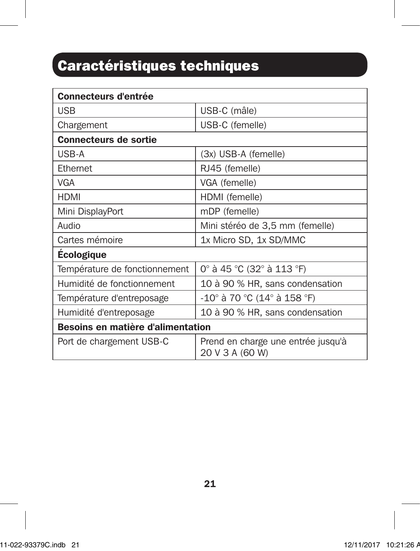# Caractéristiques techniques

| <b>Connecteurs d'entrée</b>              |                                                       |  |
|------------------------------------------|-------------------------------------------------------|--|
| <b>USB</b>                               | USB-C (mâle)                                          |  |
| Chargement                               | USB-C (femelle)                                       |  |
| <b>Connecteurs de sortie</b>             |                                                       |  |
| USB-A                                    | (3x) USB-A (femelle)                                  |  |
| Ethernet                                 | RJ45 (femelle)                                        |  |
| <b>VGA</b>                               | VGA (femelle)                                         |  |
| <b>HDMI</b>                              | HDMI (femelle)                                        |  |
| Mini DisplayPort                         | mDP (femelle)                                         |  |
| Audio                                    | Mini stéréo de 3,5 mm (femelle)                       |  |
| Cartes mémoire                           | 1x Micro SD, 1x SD/MMC                                |  |
| <b>Ecologique</b>                        |                                                       |  |
| Température de fonctionnement            | 0° à 45 °C (32° à 113 °F)                             |  |
| Humidité de fonctionnement               | 10 à 90 % HR, sans condensation                       |  |
| Température d'entreposage                | -10° à 70 °C (14° à 158 °F)                           |  |
| Humidité d'entreposage                   | 10 à 90 % HR, sans condensation                       |  |
| <b>Besoins en matière d'alimentation</b> |                                                       |  |
| Port de chargement USB-C                 | Prend en charge une entrée jusqu'à<br>20 V 3 A (60 W) |  |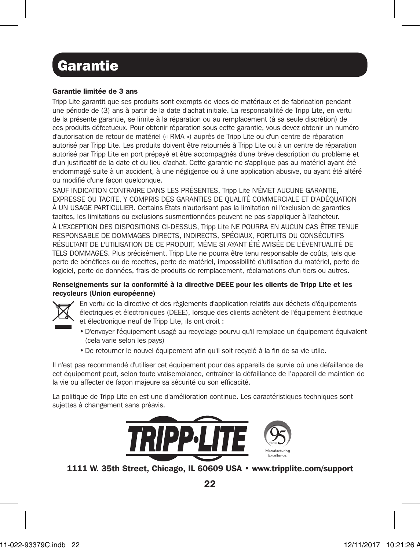## **Garantie**

#### Garantie limitée de 3 ans

Tripp Lite garantit que ses produits sont exempts de vices de matériaux et de fabrication pendant une période de (3) ans à partir de la date d'achat initiale. La responsabilité de Tripp Lite, en vertu de la présente garantie, se limite à la réparation ou au remplacement (à sa seule discrétion) de ces produits défectueux. Pour obtenir réparation sous cette garantie, vous devez obtenir un numéro d'autorisation de retour de matériel (« RMA ») auprès de Tripp Lite ou d'un centre de réparation autorisé par Tripp Lite. Les produits doivent être retournés à Tripp Lite ou à un centre de réparation autorisé par Tripp Lite en port prépayé et être accompagnés d'une brève description du problème et d'un justificatif de la date et du lieu d'achat. Cette garantie ne s'applique pas au matériel ayant été endommagé suite à un accident, à une négligence ou à une application abusive, ou ayant été altéré ou modifié d'une façon quelconque.

SAUF INDICATION CONTRAIRE DANS LES PRÉSENTES, Tripp Lite N'ÉMET AUCUNE GARANTIE, EXPRESSE OU TACITE, Y COMPRIS DES GARANTIES DE QUALITÉ COMMERCIALE ET D'ADÉQUATION À UN USAGE PARTICULIER. Certains États n'autorisant pas la limitation ni l'exclusion de garanties tacites, les limitations ou exclusions susmentionnées peuvent ne pas s'appliquer à l'acheteur. À L'EXCEPTION DES DISPOSITIONS CI-DESSUS, Tripp Lite NE POURRA EN AUCUN CAS ÊTRE TENUE RESPONSABLE DE DOMMAGES DIRECTS, INDIRECTS, SPÉCIAUX, FORTUITS OU CONSÉCUTIFS RÉSULTANT DE L'UTILISATION DE CE PRODUIT, MÊME SI AYANT ÉTÉ AVISÉE DE L'ÉVENTUALITÉ DE TELS DOMMAGES. Plus précisément, Tripp Lite ne pourra être tenu responsable de coûts, tels que perte de bénéfices ou de recettes, perte de matériel, impossibilité d'utilisation du matériel, perte de logiciel, perte de données, frais de produits de remplacement, réclamations d'un tiers ou autres.

#### Renseignements sur la conformité à la directive DEEE pour les clients de Tripp Lite et les recycleurs (Union européenne)



En vertu de la directive et des règlements d'application relatifs aux déchets d'équipements électriques et électroniques (DEEE), lorsque des clients achètent de l'équipement électrique et électronique neuf de Tripp Lite, ils ont droit :

- •D'envoyer l'équipement usagé au recyclage pourvu qu'il remplace un équipement équivalent (cela varie selon les pays)
- •De retourner le nouvel équipement afin qu'il soit recyclé à la fin de sa vie utile.

Il n'est pas recommandé d'utiliser cet équipement pour des appareils de survie où une défaillance de cet équipement peut, selon toute vraisemblance, entraîner la défaillance de l'appareil de maintien de la vie ou affecter de façon majeure sa sécurité ou son efficacité.

La politique de Tripp Lite en est une d'amélioration continue. Les caractéristiques techniques sont sujettes à changement sans préavis.



1111 W. 35th Street, Chicago, IL 60609 USA • www.tripplite.com/support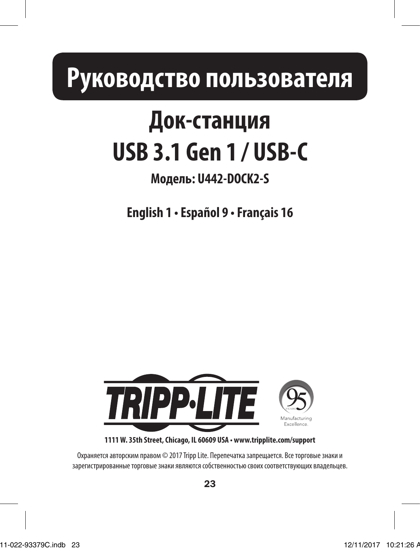# **Руководство пользователя**

# **Док-станция USB 3.1 Gen 1 / USB-C**

## **Модель: U442-DOCK2-S**

**English 1 • Español 9 • Français 16**



**1111 W. 35th Street, Chicago, IL 60609 USA • www.tripplite.com/support**

Охраняется авторским правом © 2017 Tripp Lite. Перепечатка запрещается. Все торговые знаки и зарегистрированные торговые знаки являются собственностью своих соответствующих владельцев.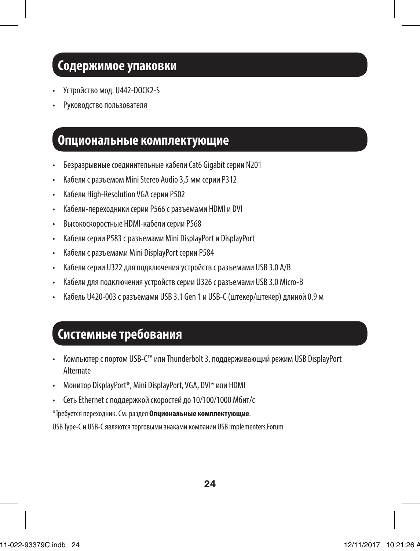### **Содержимое упаковки**

- Устройство мод. U442-DOCK2-S
- Руководство пользователя

### **Опциональные комплектующие**

- Безразрывные соединительные кабели Cat6 Gigabit серии N201
- Кабели с разъемом Mini Stereo Audio 3,5 мм серии P312
- Кабели High-Resolution VGA серии P502
- Кабели-переходники серии P566 с разъемами HDMI и DVI
- Высокоскоростные HDMI-кабели серии P568
- Кабели серии P583 с разъемами Mini DisplayPort и DisplayPort
- Кабели с разъемами Mini DisplayPort серии P584
- Кабели серии U322 для подключения устройств с разъемами USB 3.0 A/B
- Кабели для подключения устройств серии U326 с разъемами USB 3.0 Micro-B
- Кабель U420-003 с разъемами USB 3.1 Gen 1 и USB-C (штекер/штекер) длиной 0,9 м

### **Системные требования**

- Компьютер с портом USB-C™ или Thunderbolt 3, поддерживающий режим USB DisplayPort Alternate
- Монитор DisplayPort\*, Mini DisplayPort, VGA, DVI\* или HDMI
- Сеть Ethernet с поддержкой скоростей до 10/100/1000 Мбит/с

\*Требуется переходник. См. раздел **Опциональные комплектующие**.

USB Type-C и USB-C являются торговыми знаками компании USB Implementers Forum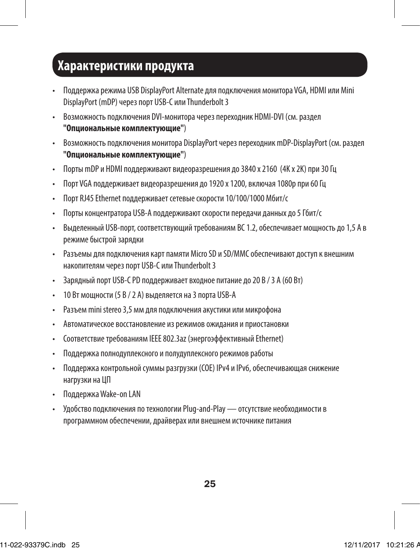### **Характеристики продукта**

- Поддержка режима USB DisplayPort Alternate для подключения монитора VGA, HDMI или Mini DisplayPort (mDP) через порт USB-C или Thunderbolt 3
- Возможность подключения DVI-монитора через переходник HDMI-DVI (см. раздел **"Опциональные комплектующие"**)
- Возможность подключения монитора DisplayPort через переходник mDP-DisplayPort (см. раздел **"Опциональные комплектующие"**)
- Порты mDP и HDMI поддерживают видеоразрешения до 3840 x 2160 (4K x 2K) при 30 Гц
- Порт VGA поддерживает видеоразрешения до 1920 x 1200, включая 1080p при 60 Гц
- Порт RJ45 Ethernet поддерживает сетевые скорости 10/100/1000 Мбит/с
- Порты концентратора USB-A поддерживают скорости передачи данных до 5 Гбит/с
- Выделенный USB-порт, соответствующий требованиям BC 1.2, обеспечивает мощность до 1,5 А в режиме быстрой зарядки
- Разъемы для подключения карт памяти Micro SD и SD/MMC обеспечивают доступ к внешним накопителям через порт USB-C или Thunderbolt 3
- Зарядный порт USB-C PD поддерживает входное питание до 20 В / 3 А (60 Вт)
- 10 Вт мощности (5 В / 2 А) выделяется на 3 порта USB-A
- Разъем mini stereo 3,5 мм для подключения акустики или микрофона
- Автоматическое восстановление из режимов ожидания и приостановки
- Соответствие требованиям IEEE 802.3az (энергоэффективный Ethernet)
- Поддержка полнодуплексного и полудуплексного режимов работы
- Поддержка контрольной суммы разгрузки (СОЕ) IPv4 и IPv6, обеспечивающая снижение нагрузки на ЦП
- Поддержка Wake-on LAN
- Удобство подключения по технологии Plug-and-Play отсутствие необходимости в программном обеспечении, драйверах или внешнем источнике питания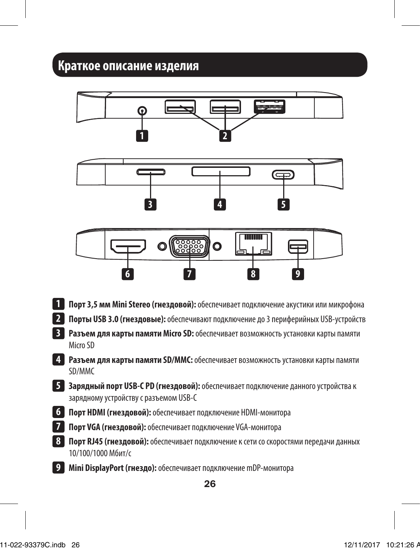### **Краткое описание изделия**

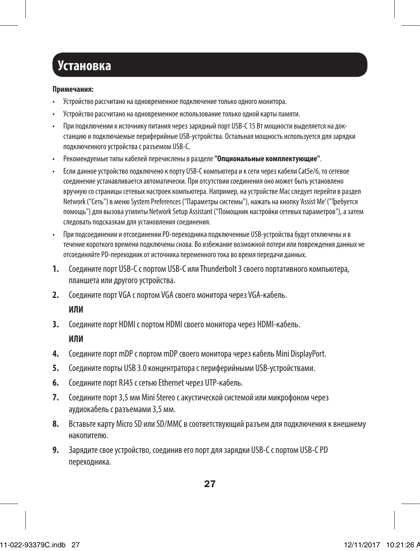## **Установка**

#### **Примечания:**

- Устройство рассчитано на одновременное подключение только одного монитора.
- Устройство рассчитано на одновременное использование только одной карты памяти.
- При подключении к источнику питания через зарядный порт USB-C 15 Вт мощности выделяется на докстанцию и подключаемые периферийные USB-устройства. Остальная мощность используется для зарядки подключенного устройства с разъемом USB-C.
- Рекомендуемые типы кабелей перечислены в разделе **"Опциональные комплектующие"**.
- Если данное устройство подключено к порту USB-C компьютера и к сети через кабели Cat5e/6, то сетевое соединение устанавливается автоматически. При отсутствии соединения оно может быть установлено вручную со страницы сетевых настроек компьютера. Например, на устройстве Mac следует перейти в раздел Network ("Сеть") в меню System Preferences ("Параметры системы"), нажать на кнопку 'Assist Me' ("Требуется помощь") для вызова утилиты Network Setup Assistant ("Помощник настройки сетевых параметров"), а затем следовать подсказкам для установления соединения.
- При подсоединении и отсоединении PD-переходника подключенные USB-устройства будут отключены и в течение короткого времени подключены снова. Во избежание возможной потери или повреждения данных не отсоединяйте PD-переходник от источника переменного тока во время передачи данных.
- **1.** Соедините порт USB-C с портом USB-C или Thunderbolt 3 своего портативного компьютера, планшета или другого устройства.
- **2.** Соедините порт VGA с портом VGA своего монитора через VGA-кабель.

### **ИЛИ**

- **3.** Соедините порт HDMI с портом HDMI своего монитора через HDMI-кабель. **ИЛИ**
- **4.** Соедините порт mDP с портом mDP своего монитора через кабель Mini DisplayPort.
- **5.** Соедините порты USB 3.0 концентратора с периферийными USB-устройствами.
- **6.** Соедините порт RJ45 с сетью Ethernet через UTP-кабель.
- **7.** Соедините порт 3,5 мм Mini Stereo с акустической системой или микрофоном через аудиокабель с разъемами 3,5 мм.
- **8.** Вставьте карту Micro SD или SD/MMC в соответствующий разъем для подключения к внешнему накопителю.
- **9.** Зарядите свое устройство, соединив его порт для зарядки USB-C с портом USB-C PD переходника.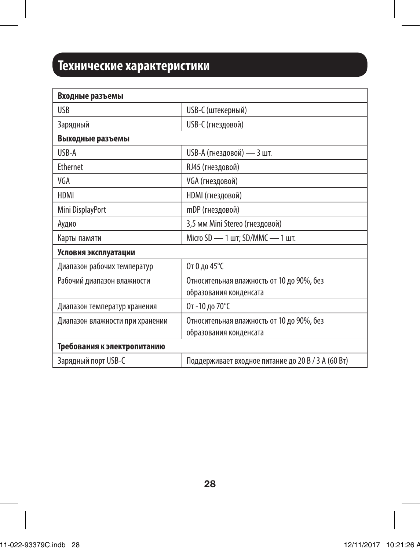## **Технические характеристики**

| Входные разъемы                 |                                                    |  |
|---------------------------------|----------------------------------------------------|--|
| <b>USB</b>                      | USB-С (штекерный)                                  |  |
| Зарядный                        | USB-С (гнездовой)                                  |  |
| Выходные разъемы                |                                                    |  |
| <b>USB-A</b>                    | USB-А (гнездовой) — 3 шт.                          |  |
| Ethernet                        | RJ45 (гнездовой)                                   |  |
| VGA                             | VGA (гнездовой)                                    |  |
| HDMI                            | <b>НDMI</b> (гнездовой)                            |  |
| Mini DisplayPort                | mDP (гнездовой)                                    |  |
| Аудио                           | 3,5 мм Mini Stereo (гнездовой)                     |  |
| Карты памяти                    | Micro SD - 1 шт; SD/MMC - 1 шт.                    |  |
| Условия эксплуатации            |                                                    |  |
| Диапазон рабочих температур     | От 0 до 45°С                                       |  |
| Рабочий диапазон влажности      | Относительная влажность от 10 до 90%, без          |  |
|                                 | образования конденсата                             |  |
| Диапазон температур хранения    | От -10 до 70°С                                     |  |
| Диапазон влажности при хранении | Относительная влажность от 10 до 90%, без          |  |
|                                 | образования конденсата                             |  |
| Требования к электропитанию     |                                                    |  |
| Зарядный порт USB-C             | Поддерживает входное питание до 20 В / 3 А (60 Вт) |  |